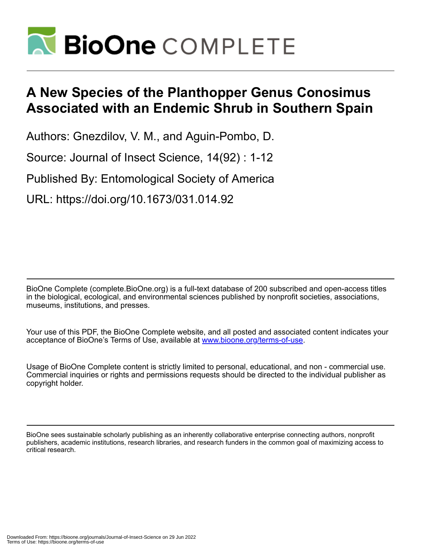

# **A New Species of the Planthopper Genus Conosimus Associated with an Endemic Shrub in Southern Spain**

Authors: Gnezdilov, V. M., and Aguin-Pombo, D.

Source: Journal of Insect Science, 14(92) : 1-12

Published By: Entomological Society of America

URL: https://doi.org/10.1673/031.014.92

BioOne Complete (complete.BioOne.org) is a full-text database of 200 subscribed and open-access titles in the biological, ecological, and environmental sciences published by nonprofit societies, associations, museums, institutions, and presses.

Your use of this PDF, the BioOne Complete website, and all posted and associated content indicates your acceptance of BioOne's Terms of Use, available at www.bioone.org/terms-of-use.

Usage of BioOne Complete content is strictly limited to personal, educational, and non - commercial use. Commercial inquiries or rights and permissions requests should be directed to the individual publisher as copyright holder.

BioOne sees sustainable scholarly publishing as an inherently collaborative enterprise connecting authors, nonprofit publishers, academic institutions, research libraries, and research funders in the common goal of maximizing access to critical research.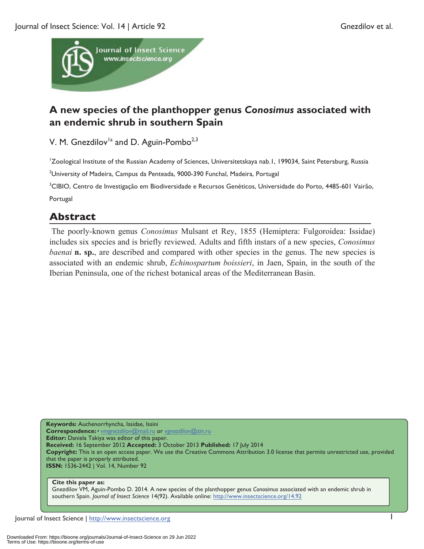

## **A new species of the planthopper genus** *Conosimus* **associated with an endemic shrub in southern Spain**

V. M. Gnezdilov<sup>1a</sup> and D. Aguin-Pombo<sup>2,3</sup>

1 Zoological Institute of the Russian Academy of Sciences, Universitetskaya nab.1, 199034, Saint Petersburg, Russia

<sup>2</sup>University of Madeira, Campus da Penteada, 9000-390 Funchal, Madeira, Portugal

<sup>3</sup>CIBIO, Centro de Investigação em Biodiversidade e Recursos Genéticos, Universidade do Porto, 4485-601 Vairão, Portugal

### **Abstract**

 The poorly-known genus *Conosimus* Mulsant et Rey, 1855 (Hemiptera: Fulgoroidea: Issidae) includes six species and is briefly reviewed. Adults and fifth instars of a new species, *Conosimus baenai* **n.** sp., are described and compared with other species in the genus. The new species is associated with an endemic shrub, *Echinospartum boissieri*, in Jaen, Spain, in the south of the Iberian Peninsula, one of the richest botanical areas of the Mediterranean Basin.

**Keywords:** Auchenorrhyncha, Issidae, Issini **Correspondence:**<sup>a</sup> vmgnezdilov@mail.ru or vgnezdilov@zin.ru **Editor:** Daniela Takiya was editor of this paper. **Received:** 16 September 2012 **Accepted:** 3 October 2013 **Published:** 17 July 2014 **Copyright:** This is an open access paper. We use the Creative Commons Attribution 3.0 license that permits unrestricted use, provided that the paper is properly attributed. **ISSN:** 1536-2442 | Vol. 14, Number 92

#### **Cite this paper as:**

Gnezdilov VM, Aguin-Pombo D. 2014. A new species of the planthopper genus *Conosimus* associated with an endemic shrub in southern Spain. *Journal of Insect Science* 14(92). Available online: http://www.insectscience.org/14.92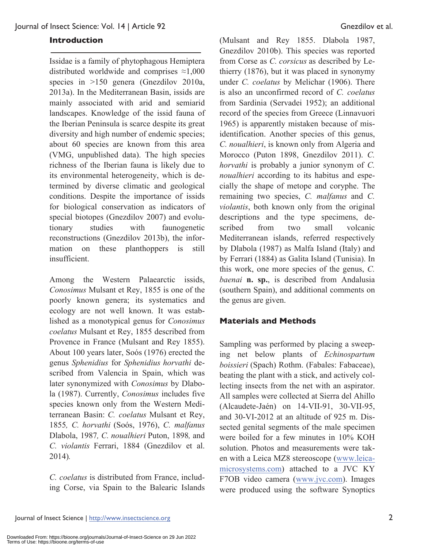#### **Introduction**

Issidae is a family of phytophagous Hemiptera distributed worldwide and comprises ≈1,000 species in >150 genera (Gnezdilov 2010a, 2013a). In the Mediterranean Basin, issids are mainly associated with arid and semiarid landscapes. Knowledge of the issid fauna of the Iberian Peninsula is scarce despite its great diversity and high number of endemic species; about 60 species are known from this area (VMG, unpublished data). The high species richness of the Iberian fauna is likely due to its environmental heterogeneity, which is determined by diverse climatic and geological conditions. Despite the importance of issids for biological conservation as indicators of special biotopes (Gnezdilov 2007) and evolutionary studies with faunogenetic reconstructions (Gnezdilov 2013b), the information on these planthoppers is still insufficient.

Among the Western Palaearctic issids, *Conosimus* Mulsant et Rey, 1855 is one of the poorly known genera; its systematics and ecology are not well known. It was established as a monotypical genus for *Conosimus coelatus* Mulsant et Rey, 1855 described from Provence in France (Mulsant and Rey 1855). About 100 years later, Soós (1976) erected the genus *Sphenidius* for *Sphenidius horvathi* described from Valencia in Spain, which was later synonymized with *Conosimus* by Dlabola (1987). Currently, *Conosimus* includes five species known only from the Western Mediterranean Basin: *C. coelatus* Mulsant et Rey, 1855*, C. horvathi* (Soós, 1976), *C. malfanus*  Dlabola, 1987*, C. noualhieri* Puton, 1898*,* and *C. violantis* Ferrari, 1884 (Gnezdilov et al. 2014)*.* 

*C. coelatus* is distributed from France, including Corse, via Spain to the Balearic Islands

(Mulsant and Rey 1855. Dlabola 1987, Gnezdilov 2010b). This species was reported from Corse as *C. corsicus* as described by Lethierry (1876), but it was placed in synonymy under *C. coelatus* by Melichar (1906). There is also an unconfirmed record of *C. coelatus* from Sardinia (Servadei 1952); an additional record of the species from Greece (Linnavuori 1965) is apparently mistaken because of misidentification. Another species of this genus, *C. noualhieri*, is known only from Algeria and Morocco (Puton 1898, Gnezdilov 2011). *C. horvathi* is probably a junior synonym of *C. noualhieri* according to its habitus and especially the shape of metope and coryphe. The remaining two species, *C. malfanus* and *C. violantis*, both known only from the original descriptions and the type specimens, described from two small volcanic Mediterranean islands, referred respectively by Dlabola (1987) as Malfa Island (Italy) and by Ferrari (1884) as Galita Island (Tunisia). In this work, one more species of the genus, *C. baenai* **n. sp.**, is described from Andalusia (southern Spain), and additional comments on the genus are given.

### **Materials and Methods**

Sampling was performed by placing a sweeping net below plants of *Echinospartum boissieri* (Spach) Rothm. (Fabales: Fabaceae), beating the plant with a stick, and actively collecting insects from the net with an aspirator. All samples were collected at Sierra del Ahillo (Alcaudete-Jaén) on 14-VII-91, 30-VII-95, and 30-VI-2012 at an altitude of 925 m. Dissected genital segments of the male specimen were boiled for a few minutes in 10% KOH solution. Photos and measurements were taken with a Leica MZ8 stereoscope (www.leicamicrosystems.com) attached to a JVC KY F7OB video camera (www.jvc.com). Images were produced using the software Synoptics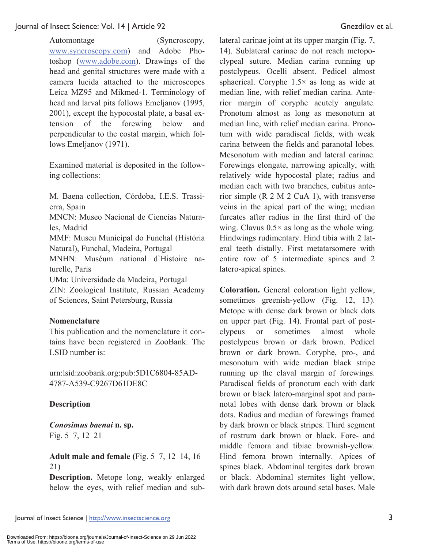Automontage (Syncroscopy, www.syncroscopy.com) and Adobe Photoshop (www.adobe.com). Drawings of the head and genital structures were made with a camera lucida attached to the microscopes Leica MZ95 and Mikmed-1. Terminology of head and larval pits follows Emeljanov (1995, 2001), except the hypocostal plate, a basal extension of the forewing below and perpendicular to the costal margin, which follows Emeljanov (1971).

Examined material is deposited in the following collections:

M. Baena collection, Córdoba, I.E.S. Trassierra, Spain

MNCN: Museo Nacional de Ciencias Naturales, Madrid

MMF: Museu Municipal do Funchal (História Natural), Funchal, Madeira, Portugal

MNHN: Muséum national d`Histoire naturelle, Paris

UMa: Universidade da Madeira, Portugal

ZIN: Zoological Institute, Russian Academy of Sciences, Saint Petersburg, Russia

### **Nomenclature**

This publication and the nomenclature it contains have been registered in ZooBank. The LSID number is:

urn:lsid:zoobank.org:pub:5D1C6804-85AD-4787-A539-C9267D61DE8C

### **Description**

*Conosimus baenai* **n. sp.**  Fig. 5–7, 12–21

**Adult male and female (**Fig. 5–7, 12–14, 16– 21)

**Description.** Metope long, weakly enlarged below the eyes, with relief median and sub-

lateral carinae joint at its upper margin (Fig. 7, 14). Sublateral carinae do not reach metopoclypeal suture. Median carina running up postclypeus. Ocelli absent. Pedicel almost sphaerical. Coryphe  $1.5\times$  as long as wide at median line, with relief median carina. Anterior margin of coryphe acutely angulate. Pronotum almost as long as mesonotum at median line, with relief median carina. Pronotum with wide paradiscal fields, with weak carina between the fields and paranotal lobes. Mesonotum with median and lateral carinae. Forewings elongate, narrowing apically, with relatively wide hypocostal plate; radius and median each with two branches, cubitus anterior simple (R 2 M 2 CuA 1), with transverse veins in the apical part of the wing; median furcates after radius in the first third of the wing. Clavus  $0.5 \times$  as long as the whole wing. Hindwings rudimentary. Hind tibia with 2 lateral teeth distally. First metatarsomere with entire row of 5 intermediate spines and 2 latero-apical spines.

**Coloration.** General coloration light yellow, sometimes greenish-yellow (Fig. 12, 13). Metope with dense dark brown or black dots on upper part (Fig. 14). Frontal part of postclypeus or sometimes almost whole postclypeus brown or dark brown. Pedicel brown or dark brown. Coryphe, pro-, and mesonotum with wide median black stripe running up the claval margin of forewings. Paradiscal fields of pronotum each with dark brown or black latero-marginal spot and paranotal lobes with dense dark brown or black dots. Radius and median of forewings framed by dark brown or black stripes. Third segment of rostrum dark brown or black. Fore- and middle femora and tibiae brownish-yellow. Hind femora brown internally. Apices of spines black. Abdominal tergites dark brown or black. Abdominal sternites light yellow, with dark brown dots around setal bases. Male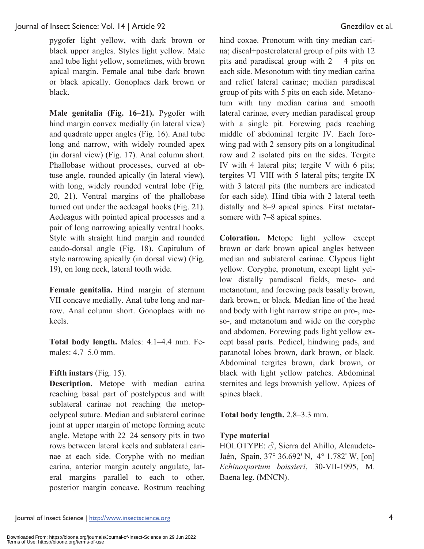pygofer light yellow, with dark brown or black upper angles. Styles light yellow. Male anal tube light yellow, sometimes, with brown apical margin. Female anal tube dark brown or black apically. Gonoplacs dark brown or black.

**Male genitalia (Fig. 16–21).** Pygofer with hind margin convex medially (in lateral view) and quadrate upper angles (Fig. 16). Anal tube long and narrow, with widely rounded apex (in dorsal view) (Fig. 17). Anal column short. Phallobase without processes, curved at obtuse angle, rounded apically (in lateral view), with long, widely rounded ventral lobe (Fig. 20, 21). Ventral margins of the phallobase turned out under the aedeagal hooks (Fig. 21). Aedeagus with pointed apical processes and a pair of long narrowing apically ventral hooks. Style with straight hind margin and rounded caudo-dorsal angle (Fig. 18). Capitulum of style narrowing apically (in dorsal view) (Fig. 19), on long neck, lateral tooth wide.

**Female genitalia.** Hind margin of sternum VII concave medially. Anal tube long and narrow. Anal column short. Gonoplacs with no keels.

**Total body length.** Males: 4.1–4.4 mm. Females: 4.7–5.0 mm.

### **Fifth instars** (Fig. 15).

**Description.** Metope with median carina reaching basal part of postclypeus and with sublateral carinae not reaching the metopoclypeal suture. Median and sublateral carinae joint at upper margin of metope forming acute angle. Metope with 22‒24 sensory pits in two rows between lateral keels and sublateral carinae at each side. Coryphe with no median carina, anterior margin acutely angulate, lateral margins parallel to each to other, posterior margin concave. Rostrum reaching hind coxae. Pronotum with tiny median carina; discal+posterolateral group of pits with 12 pits and paradiscal group with  $2 + 4$  pits on each side. Mesonotum with tiny median carina and relief lateral carinae; median paradiscal group of pits with 5 pits on each side. Metanotum with tiny median carina and smooth lateral carinae, every median paradiscal group with a single pit. Forewing pads reaching middle of abdominal tergite IV. Each forewing pad with 2 sensory pits on a longitudinal row and 2 isolated pits on the sides. Tergite IV with 4 lateral pits; tergite V with 6 pits; tergites VI‒VIII with 5 lateral pits; tergite IX with 3 lateral pits (the numbers are indicated for each side). Hind tibia with 2 lateral teeth distally and 8‒9 apical spines. First metatarsomere with 7–8 apical spines.

**Coloration.** Metope light yellow except brown or dark brown apical angles between median and sublateral carinae. Clypeus light yellow. Coryphe, pronotum, except light yellow distally paradiscal fields, meso- and metanotum, and forewing pads basally brown, dark brown, or black. Median line of the head and body with light narrow stripe on pro-, meso-, and metanotum and wide on the coryphe and abdomen. Forewing pads light yellow except basal parts. Pedicel, hindwing pads, and paranotal lobes brown, dark brown, or black. Abdominal tergites brown, dark brown, or black with light yellow patches. Abdominal sternites and legs brownish yellow. Apices of spines black.

### **Total body length.** 2.8–3.3 mm.

### **Type material**

HOLOTYPE: ♂, Sierra del Ahillo, Alcaudete-Jaén, Spain, 37° 36.692' N, 4° 1.782' W, [on] *Echinospartum boissieri*, 30-VII-1995, M. Baena leg. (MNCN).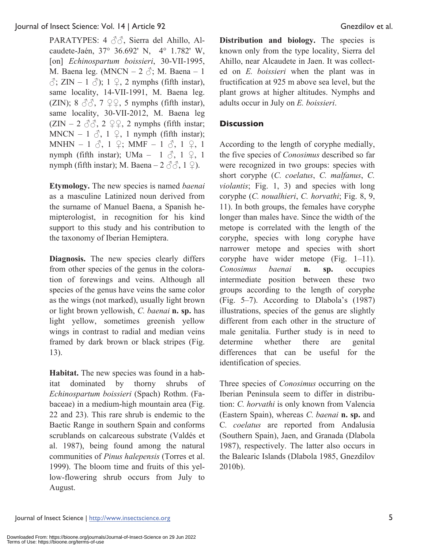PARATYPES: 4 3<sup>∂</sup>, Sierra del Ahillo, Alcaudete-Jaén, 37° 36.692' N, 4° 1.782' W, [on] *Echinospartum boissieri*, 30-VII-1995, M. Baena leg. (MNCN –  $2 \text{ } \textcircled{}$ ; M. Baena – 1  $\sqrt[3]{2}$ ; ZIN – 1  $\sqrt[3]{2}$ ; 1  $\sqrt{2}$ , 2 nymphs (fifth instar), same locality, 14-VII-1991, M. Baena leg. (ZIN);  $8 \text{ }\partial\phi$ ,  $7 \text{ }\mathcal{Q}$ ,  $5$  nymphs (fifth instar), same locality, 30-VII-2012, M. Baena leg  $(ZIN - 2 \text{ } \partial \partial, 2 \text{ } \mathcal{Q} \varphi, 2 \text{ numbers}$  (fifth instar; MNCN – 1  $\delta$ , 1  $\Omega$ , 1 nymph (fifth instar); MNHN – 1  $\delta$ , 1  $\varphi$ ; MMF – 1  $\delta$ , 1  $\varphi$ , 1 nymph (fifth instar); UMa – 1  $\delta$ , 1  $\varphi$ , 1 nymph (fifth instar); M. Baena –  $2 \text{ } \textcircled{3} \textcircled{3}$ ,  $1 \text{ } \textcircled{2}$ ).

**Etymology.** The new species is named *baenai* as a masculine Latinized noun derived from the surname of Manuel Baena, a Spanish hemipterologist, in recognition for his kind support to this study and his contribution to the taxonomy of Iberian Hemiptera.

**Diagnosis.** The new species clearly differs from other species of the genus in the coloration of forewings and veins. Although all species of the genus have veins the same color as the wings (not marked), usually light brown or light brown yellowish, *C. baenai* **n. sp.** has light yellow, sometimes greenish yellow wings in contrast to radial and median veins framed by dark brown or black stripes (Fig. 13).

**Habitat.** The new species was found in a habitat dominated by thorny shrubs of *Echinospartum boissieri* (Spach) Rothm. (Fabaceae) in a medium-high mountain area (Fig. 22 and 23). This rare shrub is endemic to the Baetic Range in southern Spain and conforms scrublands on calcareous substrate (Valdés et al. 1987), being found among the natural communities of *Pinus halepensis* (Torres et al. 1999). The bloom time and fruits of this yellow-flowering shrub occurs from July to August.

**Distribution and biology.** The species is known only from the type locality, Sierra del Ahillo, near Alcaudete in Jaen. It was collected on *E. boissieri* when the plant was in fructification at 925 m above sea level, but the plant grows at higher altitudes. Nymphs and adults occur in July on *E. boissieri*.

### **Discussion**

According to the length of coryphe medially, the five species of *Conosimus* described so far were recognized in two groups: species with short coryphe (*C. coelatus*, *C. malfanus*, *C. violantis*; Fig. 1, 3) and species with long coryphe (*C. noualhieri*, *C. horvathi*; Fig. 8, 9, 11). In both groups, the females have coryphe longer than males have. Since the width of the metope is correlated with the length of the coryphe, species with long coryphe have narrower metope and species with short coryphe have wider metope (Fig. 1–11). *Conosimus baenai* **n. sp.** occupies intermediate position between these two groups according to the length of coryphe (Fig. 5‒7). According to Dlabola's (1987) illustrations, species of the genus are slightly different from each other in the structure of male genitalia. Further study is in need to determine whether there are genital differences that can be useful for the identification of species.

Three species of *Conosimus* occurring on the Iberian Peninsula seem to differ in distribution: *C. horvathi* is only known from Valencia (Eastern Spain), whereas *C. baenai* **n. sp.** and C*. coelatus* are reported from Andalusia (Southern Spain), Jaen, and Granada (Dlabola 1987), respectively. The latter also occurs in the Balearic Islands (Dlabola 1985, Gnezdilov 2010b).

Journal of Insect Science | http://www.insectscience.org 5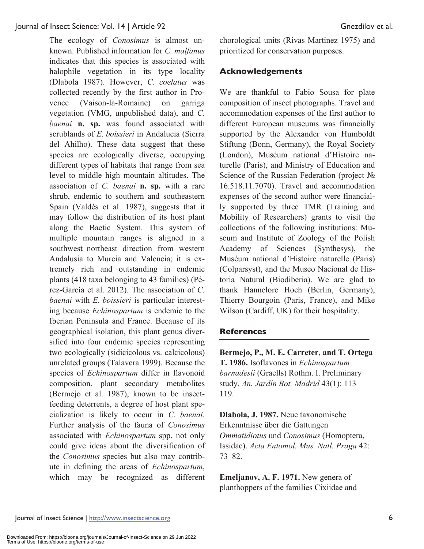The ecology of *Conosimus* is almost unknown. Published information for *C. malfanus* indicates that this species is associated with halophile vegetation in its type locality (Dlabola 1987). However, *C. coelatus* was collected recently by the first author in Provence (Vaison-la-Romaine) on garriga vegetation (VMG, unpublished data), and *C. baenai* **n. sp.** was found associated with scrublands of *E. boissieri* in Andalucia (Sierra del Ahilho). These data suggest that these species are ecologically diverse, occupying different types of habitats that range from sea level to middle high mountain altitudes. The association of *C. baenai* **n. sp.** with a rare shrub, endemic to southern and southeastern Spain (Valdés et al. 1987), suggests that it may follow the distribution of its host plant along the Baetic System. This system of multiple mountain ranges is aligned in a southwest-northeast direction from western Andalusia to Murcia and Valencia; it is extremely rich and outstanding in endemic plants (418 taxa belonging to 43 families) (Pérez-García et al. 2012). The association of *C. baenai* with *E. boissieri* is particular interesting because *Echinospartum* is endemic to the Iberian Peninsula and France. Because of its geographical isolation, this plant genus diversified into four endemic species representing two ecologically (sidicicolous vs. calcicolous) unrelated groups (Talavera 1999). Because the species of *Echinospartum* differ in flavonoid composition, plant secondary metabolites (Bermejo et al. 1987), known to be insectfeeding deterrents, a degree of host plant specialization is likely to occur in *C. baenai*. Further analysis of the fauna of *Conosimus* associated with *Echinospartum* spp. not only could give ideas about the diversification of the *Conosimus* species but also may contribute in defining the areas of *Echinospartum*, which may be recognized as different

chorological units (Rivas Martinez 1975) and prioritized for conservation purposes.

### **Acknowledgements**

We are thankful to Fabio Sousa for plate composition of insect photographs. Travel and accommodation expenses of the first author to different European museums was financially supported by the Alexander von Humboldt Stiftung (Bonn, Germany), the Royal Society (London), Muséum national d'Histoire naturelle (Paris), and Ministry of Education and Science of the Russian Federation (project № 16.518.11.7070). Travel and accommodation expenses of the second author were financially supported by three TMR (Training and Mobility of Researchers) grants to visit the collections of the following institutions: Museum and Institute of Zoology of the Polish Academy of Sciences (Synthesys), the Muséum national d'Histoire naturelle (Paris) (Colparsyst), and the Museo Nacional de Historia Natural (Biodiberia). We are glad to thank Hannelore Hoch (Berlin, Germany), Thierry Bourgoin (Paris, France), and Mike Wilson (Cardiff, UK) for their hospitality.

### **References**

**Bermejo, P., M. E. Carreter, and T. Ortega T. 1986.** Isoflavones in *Echinospartum barnadesii* (Graells) Rothm. I. Preliminary study. *An. Jardín Bot. Madrid* 43(1): 113– 119.

**Dlabola, J. 1987.** Neue taxonomische Erkenntnisse über die Gattungen *Ommatidiotus* und *Conosimus* (Homoptera, Issidae). *Acta Entomol. Mus. Natl. Praga* 42: 73–82.

**Emeljanov, A. F. 1971.** New genera of planthoppers of the families Cixiidae and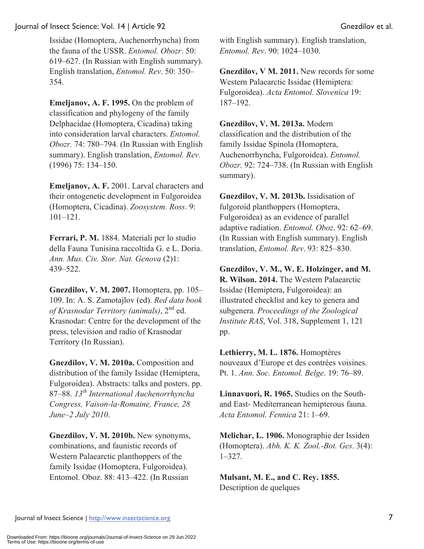Issidae (Homoptera, Auchenorrhyncha) from the fauna of the USSR. *Entomol. Obozr*. 50: 619–627. (In Russian with English summary). English translation, *Entomol. Rev*. 50: 350– 354.

**Emeljanov, A. F. 1995.** On the problem of classification and phylogeny of the family Delphacidae (Homoptera, Cicadina) taking into consideration larval characters. *Entomol. Obozr.* 74: 780–794. (In Russian with English summary). English translation, *Entomol. Rev.* (1996) 75: 134–150.

**Emeljanov, A. F.** 2001. Larval characters and their ontogenetic development in Fulgoroidea (Homoptera, Cicadina). *Zoosystem. Ross*. 9: 101–121.

**Ferrari, P. M.** 1884. Materiali per lo studio della Fauna Tunisina raccoltida G. e L. Doria. *Ann. Mus. Civ. Stor. Nat. Genova* (2)1: 439‒522.

**Gnezdilov, V. M. 2007.** Homoptera, pp. 105– 109. In: A. S. Zamotajlov (ed). *Red data book of Krasnodar Territory (animals)*, 2nd ed. Krasnodar: Centre for the development of the press, television and radio of Krasnodar Territory (In Russian).

**Gnezdilov, V. M. 2010a.** Composition and distribution of the family Issidae (Hemiptera, Fulgoroidea). Abstracts: talks and posters. pp. 87–88. *13th International Auchenorrhyncha Congress, Vaison-la-Romaine, France, 28 June–2 July 2010*.

**Gnezdilov, V. M. 2010b.** New synonyms, combinations, and faunistic records of Western Palaearctic planthoppers of the family Issidae (Homoptera, Fulgoroidea). Entomol. Oboz. 88: 413–422. (In Russian

with English summary). English translation, *Entomol. Rev*. 90: 1024–1030.

**Gnezdilov, V M. 2011.** New records for some Western Palaearctic Issidae (Hemiptera: Fulgoroidea). *Acta Entomol. Slovenica* 19: 187–192.

**Gnezdilov, V. M. 2013a.** Modern classification and the distribution of the family Issidae Spinola (Homoptera, Auchenorrhyncha, Fulgoroidea). *Entomol. Obozr.* 92: 724–738. (In Russian with English summary).

**Gnezdilov, V. M. 2013b.** Issidisation of fulgoroid planthoppers (Homoptera, Fulgoroidea) as an evidence of parallel adaptive radiation. *Entomol. Oboz*. 92: 62–69. (In Russian with English summary). English translation, *Entomol. Rev*. 93: 825–830.

**Gnezdilov, V. M., W. E. Holzinger, and M. R. Wilson. 2014.** The Western Palaearctic Issidae (Hemiptera, Fulgoroidea): an illustrated checklist and key to genera and subgenera. *Proceedings of the Zoological Institute RAS*, Vol. 318, Supplement 1, 121 pp.

**Lethierry, M. L. 1876.** Homoptères nouveaux d'Europe et des contrées voisines. Pt. 1. *Ann. Soc. Entomol. Belge*. 19: 76–89.

**Linnavuori, R. 1965.** Studies on the Southand East- Mediterranean hemipterous fauna. *Acta Entomol. Fennica* 21: 1–69.

**Melichar, L. 1906.** Monographie der Issiden (Homoptera). *Abh. K. K. Zool.-Bot. Ges*. 3(4): 1–327.

**Mulsant, M. E., and C. Rey. 1855.** Description de quelques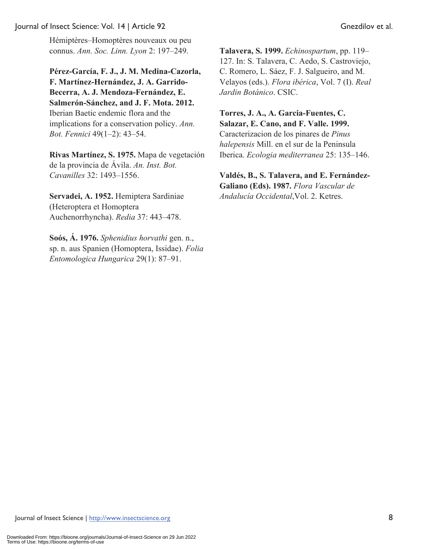Hémiptères‒Homoptères nouveaux ou peu connus. *Ann. Soc. Linn. Lyon* 2: 197–249.

**Pérez-García, F. J., J. M. Medina-Cazorla, F. Martínez-Hernández, J. A. Garrido-Becerra, A. J. Mendoza-Fernández, E. Salmerón-Sánchez, and J. F. Mota. 2012.** Iberian Baetic endemic flora and the implications for a conservation policy. *Ann. Bot. Fennici* 49(1–2): 43–54.

**Rivas Martínez, S. 1975.** Mapa de vegetación de la provincia de Ávila. *An. Inst. Bot. Cavanilles* 32: 1493–1556.

**Servadei, A. 1952.** Hemiptera Sardiniae (Heteroptera et Homoptera Auchenorrhyncha). *Redia* 37: 443–478.

**Soós, Á. 1976.** *Sphenidius horvathi* gen. n., sp. n. aus Spanien (Homoptera, Issidae). *Folia Entomologica Hungarica* 29(1): 87–91.

**Talavera, S. 1999.** *Echinospartum*, pp. 119– 127. In: S. Talavera, C. Aedo, S. Castroviejo, C. Romero, L. Sáez, F. J. Salgueiro, and M. Velayos (eds.). *Flora ibérica*, Vol. 7 (I). *Real Jardin Botánico*. CSIC.

**Torres, J. A., A. Garcia-Fuentes, C. Salazar, E. Cano, and F. Valle. 1999.**  Caracterizacion de los pinares de *Pinus halepensis* Mill. en el sur de la Peninsula Iberica. *Ecologia mediterranea* 25: 135–146.

**Valdés, B., S. Talavera, and E. Fernández-Galiano (Eds). 1987.** *Flora Vascular de Andalucía Occidental*,Vol. 2. Ketres.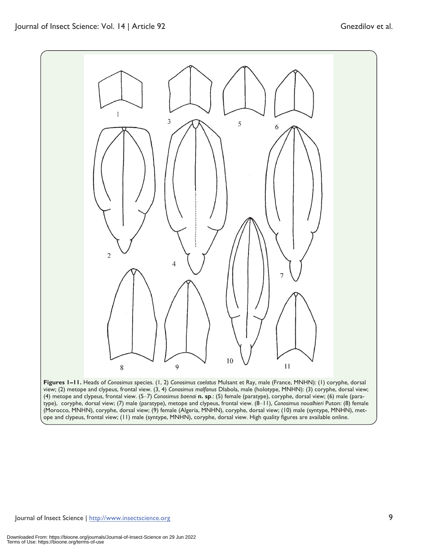

**Figures 1–11.** Heads of *Conosimus* species. (1, 2) *Conosimus coelatus* Mulsant et Ray, male (France, MNHN): (1) coryphe, dorsal view; (2) metope and clypeus, frontal view. (3, 4) *Conosimus malfanus* Dlabola, male (holotype, MNHN): (3) coryphe, dorsal view; (4) metope and clypeus, frontal view. (5‒7) *Conosimus baenai* **n. sp**.: (5) female (paratype), coryphe, dorsal view; (6) male (paratype), coryphe, dorsal view; (7) male (paratype), metope and clypeus, frontal view. (8‒11), *Conosimus noualhieri* Puton: (8) female (Morocco, MNHN), coryphe, dorsal view; (9) female (Algeria, MNHN), coryphe, dorsal view; (10) male (syntype, MNHN), metope and clypeus, frontal view; (11) male (syntype, MNHN), coryphe, dorsal view. High quality figures are available online.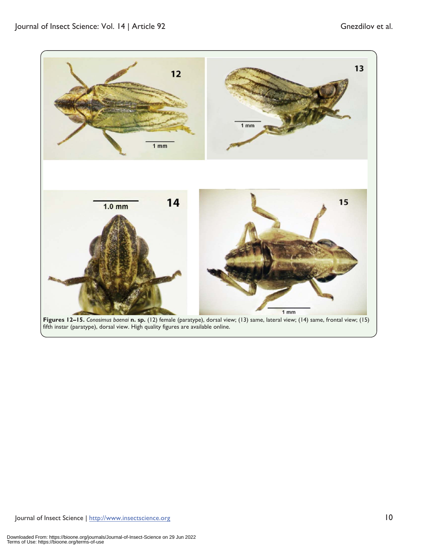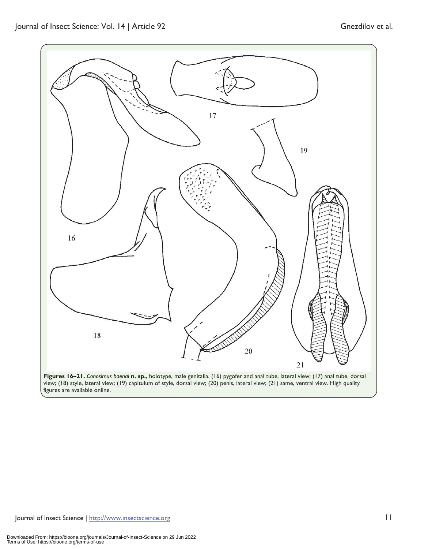

**Figures 16–21.** *Conosimus baenai* **n. sp.**, holotype, male genitalia. (16) pygofer and anal tube, lateral view; (17) anal tube, dorsal view; (18) style, lateral view; (19) capitulum of style, dorsal view; (20) penis, lateral view; (21) same, ventral view. High quality figures are available online.